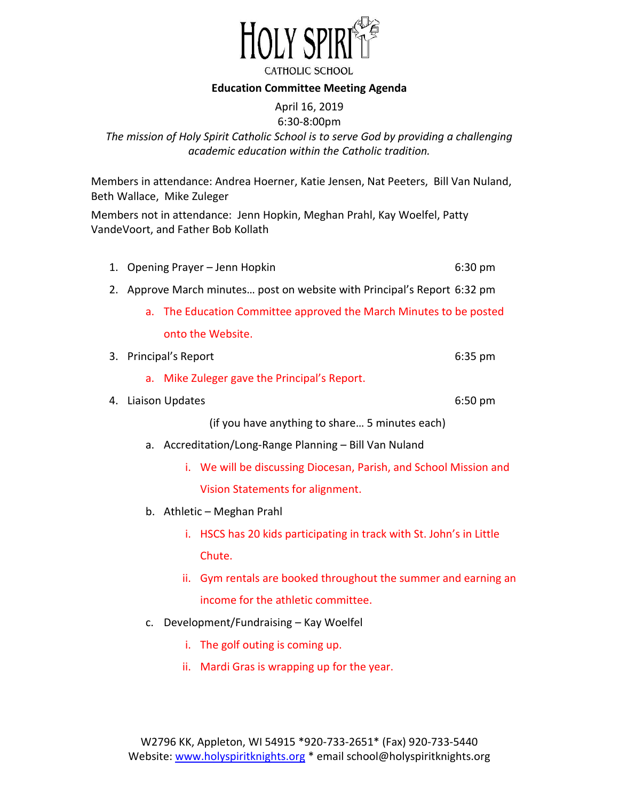

#### **Education Committee Meeting Agenda**

# April 16, 2019

# 6:30-8:00pm *The mission of Holy Spirit Catholic School is to serve God by providing a challenging academic education within the Catholic tradition.*

Members in attendance: Andrea Hoerner, Katie Jensen, Nat Peeters, Bill Van Nuland, Beth Wallace, Mike Zuleger

Members not in attendance: Jenn Hopkin, Meghan Prahl, Kay Woelfel, Patty VandeVoort, and Father Bob Kollath

|  | 1. Opening Prayer - Jenn Hopkin | 6:30 pm |
|--|---------------------------------|---------|
|--|---------------------------------|---------|

- 2. Approve March minutes… post on website with Principal's Report 6:32 pm
	- a. The Education Committee approved the March Minutes to be posted onto the Website.

| 3. Principal's Report | $6:35$ pm |
|-----------------------|-----------|

- a. Mike Zuleger gave the Principal's Report.
- 4. Liaison Updates 6:50 pm
	-

(if you have anything to share… 5 minutes each)

- a. Accreditation/Long-Range Planning Bill Van Nuland
	- i. We will be discussing Diocesan, Parish, and School Mission and Vision Statements for alignment.
- b. Athletic Meghan Prahl
	- i. HSCS has 20 kids participating in track with St. John's in Little Chute.
	- ii. Gym rentals are booked throughout the summer and earning an income for the athletic committee.
- c. Development/Fundraising Kay Woelfel
	- i. The golf outing is coming up.
	- ii. Mardi Gras is wrapping up for the year.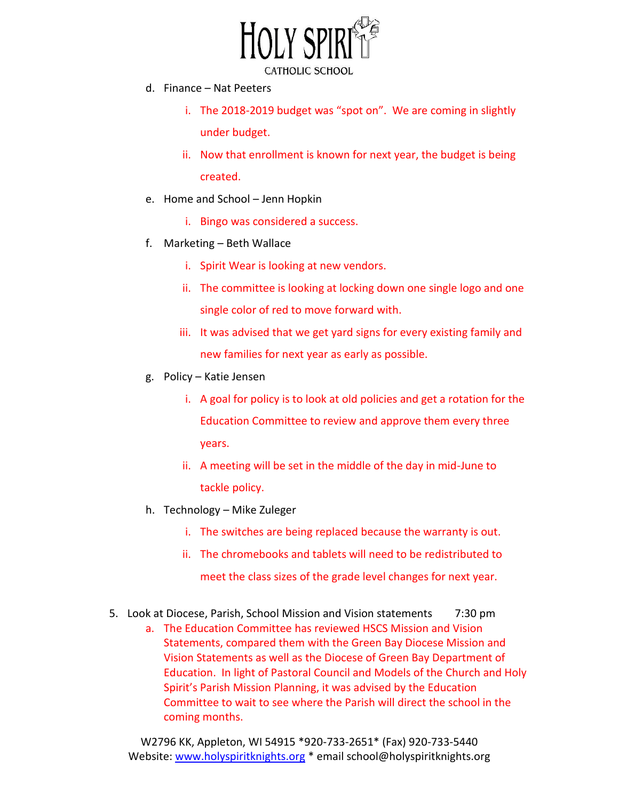

- d. Finance Nat Peeters
	- i. The 2018-2019 budget was "spot on". We are coming in slightly under budget.
	- ii. Now that enrollment is known for next year, the budget is being created.
- e. Home and School Jenn Hopkin
	- i. Bingo was considered a success.
- f. Marketing Beth Wallace
	- i. Spirit Wear is looking at new vendors.
	- ii. The committee is looking at locking down one single logo and one single color of red to move forward with.
	- iii. It was advised that we get yard signs for every existing family and new families for next year as early as possible.
- g. Policy Katie Jensen
	- i. A goal for policy is to look at old policies and get a rotation for the Education Committee to review and approve them every three years.
	- ii. A meeting will be set in the middle of the day in mid-June to tackle policy.
- h. Technology Mike Zuleger
	- i. The switches are being replaced because the warranty is out.
	- ii. The chromebooks and tablets will need to be redistributed to meet the class sizes of the grade level changes for next year.
- 5. Look at Diocese, Parish, School Mission and Vision statements 7:30 pm
	- a. The Education Committee has reviewed HSCS Mission and Vision Statements, compared them with the Green Bay Diocese Mission and Vision Statements as well as the Diocese of Green Bay Department of Education. In light of Pastoral Council and Models of the Church and Holy Spirit's Parish Mission Planning, it was advised by the Education Committee to wait to see where the Parish will direct the school in the coming months.

W2796 KK, Appleton, WI 54915 \*920-733-2651\* (Fax) 920-733-5440 Website: [www.holyspiritknights.org](http://www.holyspiritknights.org/) \* email school@holyspiritknights.org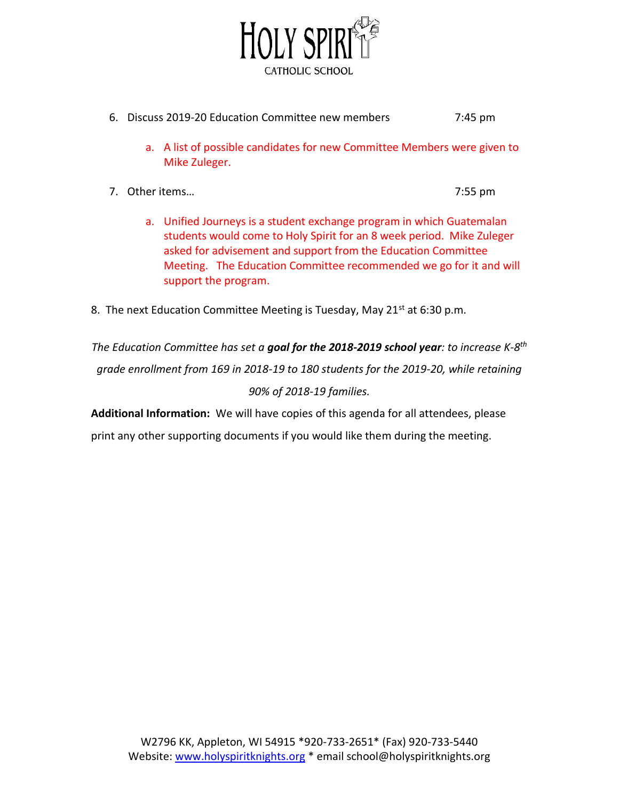

- 6. Discuss 2019-20 Education Committee new members 7:45 pm
	- a. A list of possible candidates for new Committee Members were given to Mike Zuleger.
- 7. Other items… 7:55 pm

- a. Unified Journeys is a student exchange program in which Guatemalan students would come to Holy Spirit for an 8 week period. Mike Zuleger asked for advisement and support from the Education Committee Meeting. The Education Committee recommended we go for it and will support the program.
- 8. The next Education Committee Meeting is Tuesday, May  $21^{st}$  at 6:30 p.m.

*The Education Committee has set a goal for the 2018-2019 school year: to increase K-8th grade enrollment from 169 in 2018-19 to 180 students for the 2019-20, while retaining 90% of 2018-19 families.* 

**Additional Information:** We will have copies of this agenda for all attendees, please

print any other supporting documents if you would like them during the meeting.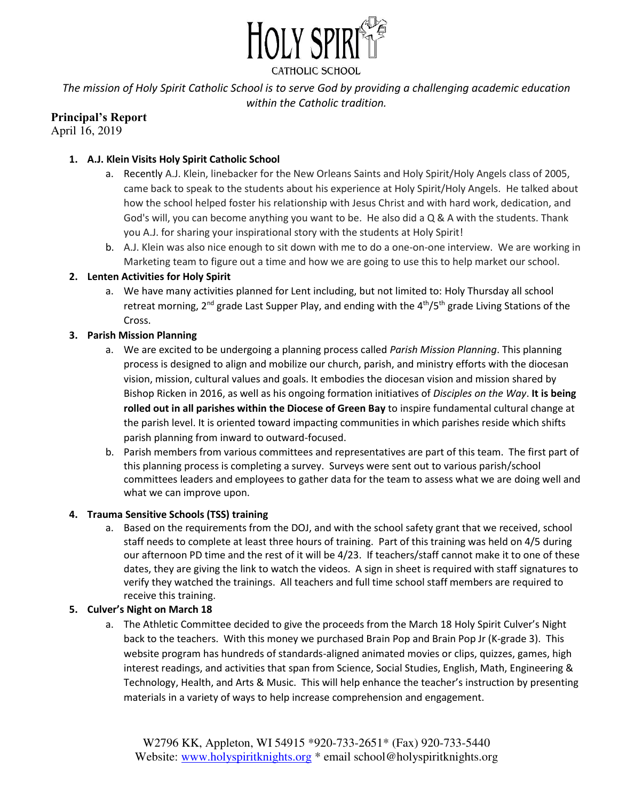

CATHOLIC SCHOOL

*The mission of Holy Spirit Catholic School is to serve God by providing a challenging academic education within the Catholic tradition.* 

# **Principal's Report**

April 16, 2019

## **1. A.J. Klein Visits Holy Spirit Catholic School**

- a. Recently A.J. Klein, linebacker for the New Orleans Saints and Holy Spirit/Holy Angels class of 2005, came back to speak to the students about his experience at Holy Spirit/Holy Angels. He talked about how the school helped foster his relationship with Jesus Christ and with hard work, dedication, and God's will, you can become anything you want to be. He also did a Q & A with the students. Thank you A.J. for sharing your inspirational story with the students at Holy Spirit!
- b. A.J. Klein was also nice enough to sit down with me to do a one-on-one interview. We are working in Marketing team to figure out a time and how we are going to use this to help market our school.

## **2. Lenten Activities for Holy Spirit**

a. We have many activities planned for Lent including, but not limited to: Holy Thursday all school retreat morning, 2<sup>nd</sup> grade Last Supper Play, and ending with the  $4<sup>th</sup>/5<sup>th</sup>$  grade Living Stations of the Cross.

## **3. Parish Mission Planning**

- a. We are excited to be undergoing a planning process called *Parish Mission Planning*. This planning process is designed to align and mobilize our church, parish, and ministry efforts with the diocesan vision, mission, cultural values and goals. It embodies the diocesan vision and mission shared by Bishop Ricken in 2016, as well as his ongoing formation initiatives of *Disciples on the Way*. **It is being rolled out in all parishes within the Diocese of Green Bay** to inspire fundamental cultural change at the parish level. It is oriented toward impacting communities in which parishes reside which shifts parish planning from inward to outward-focused.
- b. Parish members from various committees and representatives are part of this team. The first part of this planning process is completing a survey. Surveys were sent out to various parish/school committees leaders and employees to gather data for the team to assess what we are doing well and what we can improve upon.

## **4. Trauma Sensitive Schools (TSS) training**

a. Based on the requirements from the DOJ, and with the school safety grant that we received, school staff needs to complete at least three hours of training. Part of this training was held on 4/5 during our afternoon PD time and the rest of it will be 4/23. If teachers/staff cannot make it to one of these dates, they are giving the link to watch the videos. A sign in sheet is required with staff signatures to verify they watched the trainings. All teachers and full time school staff members are required to receive this training.

## **5. Culver's Night on March 18**

a. The Athletic Committee decided to give the proceeds from the March 18 Holy Spirit Culver's Night back to the teachers. With this money we purchased Brain Pop and Brain Pop Jr (K-grade 3). This website program has hundreds of standards-aligned animated movies or clips, quizzes, games, high interest readings, and activities that span from Science, Social Studies, English, Math, Engineering & Technology, Health, and Arts & Music. This will help enhance the teacher's instruction by presenting materials in a variety of ways to help increase comprehension and engagement.